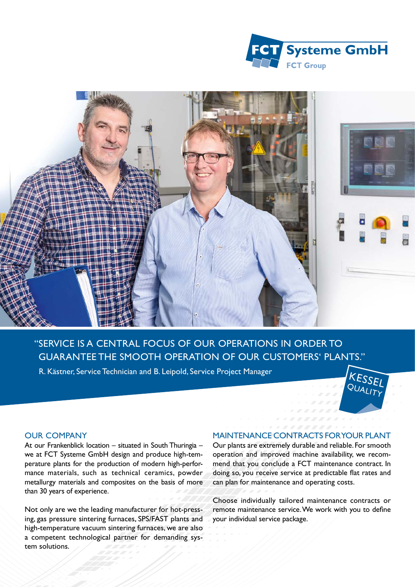



## "SERVICE IS A CENTRAL FOCUS OF OUR OPERATIONS IN ORDER TO GUARANTEE THE SMOOTH OPERATION OF OUR CUSTOMERS' PLANTS."

R. Kästner, Service Technician and B. Leipold, Service Project Manager



## OUR COMPANY

At our Frankenblick location – situated in South Thuringia – we at FCT Systeme GmbH design and produce high-temperature plants for the production of modern high-performance materials, such as technical ceramics, powder metallurgy materials and composites on the basis of more than 30 years of experience.

Not only are we the leading manufacturer for hot-pressing, gas pressure sintering furnaces, SPS/FAST plants and high-temperature vacuum sintering furnaces, we are also a competent technological partner for demanding system solutions.

## MAINTENANCE CONTRACTS FOR YOUR PLANT

Our plants are extremely durable and reliable. For smooth operation and improved machine availability, we recommend that you conclude a FCT maintenance contract. In doing so, you receive service at predictable flat rates and can plan for maintenance and operating costs.

Choose individually tailored maintenance contracts or remote maintenance service. We work with you to define your individual service package.